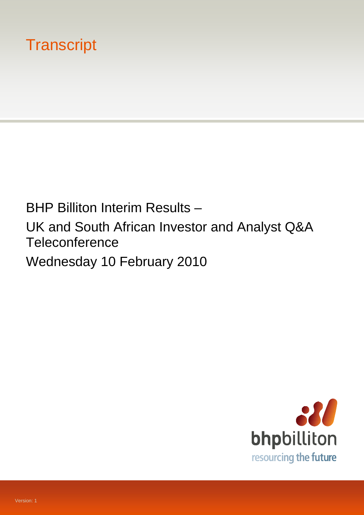# **Transcript**

BHP Billiton Interim Results – UK and South African Investor and Analyst Q&A **Teleconference** Wednesday 10 February 2010

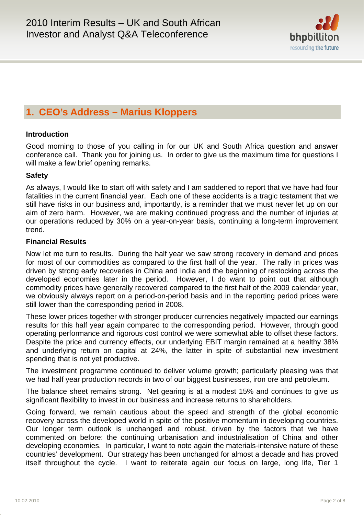

# **1. CEO's Address – Marius Kloppers**

# **Introduction**

Good morning to those of you calling in for our UK and South Africa question and answer conference call. Thank you for joining us. In order to give us the maximum time for questions I will make a few brief opening remarks.

# **Safety**

As always, I would like to start off with safety and I am saddened to report that we have had four fatalities in the current financial year. Each one of these accidents is a tragic testament that we still have risks in our business and, importantly, is a reminder that we must never let up on our aim of zero harm. However, we are making continued progress and the number of injuries at our operations reduced by 30% on a year-on-year basis, continuing a long-term improvement trend.

# **Financial Results**

Now let me turn to results. During the half year we saw strong recovery in demand and prices for most of our commodities as compared to the first half of the year. The rally in prices was driven by strong early recoveries in China and India and the beginning of restocking across the developed economies later in the period. However, I do want to point out that although commodity prices have generally recovered compared to the first half of the 2009 calendar year, we obviously always report on a period-on-period basis and in the reporting period prices were still lower than the corresponding period in 2008.

These lower prices together with stronger producer currencies negatively impacted our earnings results for this half year again compared to the corresponding period. However, through good operating performance and rigorous cost control we were somewhat able to offset these factors. Despite the price and currency effects, our underlying EBIT margin remained at a healthy 38% and underlying return on capital at 24%, the latter in spite of substantial new investment spending that is not yet productive.

The investment programme continued to deliver volume growth; particularly pleasing was that we had half year production records in two of our biggest businesses, iron ore and petroleum.

The balance sheet remains strong. Net gearing is at a modest 15% and continues to give us significant flexibility to invest in our business and increase returns to shareholders.

Going forward, we remain cautious about the speed and strength of the global economic recovery across the developed world in spite of the positive momentum in developing countries. Our longer term outlook is unchanged and robust, driven by the factors that we have commented on before: the continuing urbanisation and industrialisation of China and other developing economies. In particular, I want to note again the materials-intensive nature of these countries' development. Our strategy has been unchanged for almost a decade and has proved itself throughout the cycle. I want to reiterate again our focus on large, long life, Tier 1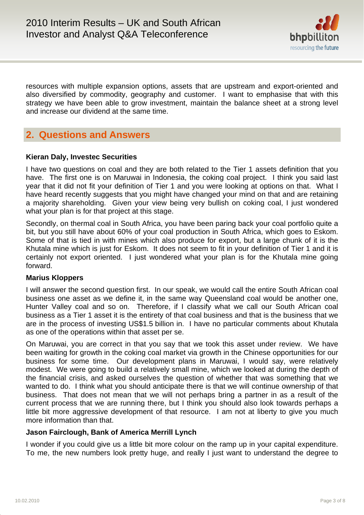

resources with multiple expansion options, assets that are upstream and export-oriented and also diversified by commodity, geography and customer. I want to emphasise that with this strategy we have been able to grow investment, maintain the balance sheet at a strong level and increase our dividend at the same time.

# **2. Questions and Answers**

# **Kieran Daly, Investec Securities**

I have two questions on coal and they are both related to the Tier 1 assets definition that you have. The first one is on Maruwai in Indonesia, the coking coal project. I think you said last year that it did not fit your definition of Tier 1 and you were looking at options on that. What I have heard recently suggests that you might have changed your mind on that and are retaining a majority shareholding. Given your view being very bullish on coking coal, I just wondered what your plan is for that project at this stage.

Secondly, on thermal coal in South Africa, you have been paring back your coal portfolio quite a bit, but you still have about 60% of your coal production in South Africa, which goes to Eskom. Some of that is tied in with mines which also produce for export, but a large chunk of it is the Khutala mine which is just for Eskom. It does not seem to fit in your definition of Tier 1 and it is certainly not export oriented. I just wondered what your plan is for the Khutala mine going forward.

# **Marius Kloppers**

I will answer the second question first. In our speak, we would call the entire South African coal business one asset as we define it, in the same way Queensland coal would be another one, Hunter Valley coal and so on. Therefore, if I classify what we call our South African coal business as a Tier 1 asset it is the entirety of that coal business and that is the business that we are in the process of investing US\$1.5 billion in. I have no particular comments about Khutala as one of the operations within that asset per se.

On Maruwai, you are correct in that you say that we took this asset under review. We have been waiting for growth in the coking coal market via growth in the Chinese opportunities for our business for some time. Our development plans in Maruwai, I would say, were relatively modest. We were going to build a relatively small mine, which we looked at during the depth of the financial crisis, and asked ourselves the question of whether that was something that we wanted to do. I think what you should anticipate there is that we will continue ownership of that business. That does not mean that we will not perhaps bring a partner in as a result of the current process that we are running there, but I think you should also look towards perhaps a little bit more aggressive development of that resource. I am not at liberty to give you much more information than that.

# **Jason Fairclough, Bank of America Merrill Lynch**

I wonder if you could give us a little bit more colour on the ramp up in your capital expenditure. To me, the new numbers look pretty huge, and really I just want to understand the degree to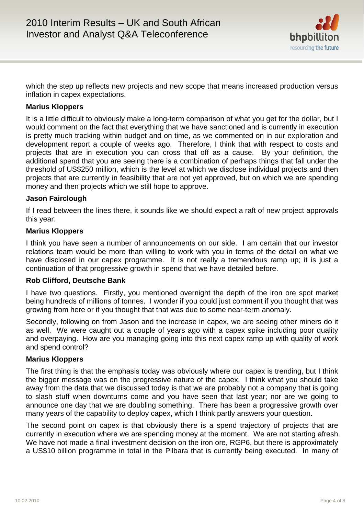

which the step up reflects new projects and new scope that means increased production versus inflation in capex expectations.

# **Marius Kloppers**

It is a little difficult to obviously make a long-term comparison of what you get for the dollar, but I would comment on the fact that everything that we have sanctioned and is currently in execution is pretty much tracking within budget and on time, as we commented on in our exploration and development report a couple of weeks ago. Therefore, I think that with respect to costs and projects that are in execution you can cross that off as a cause. By your definition, the additional spend that you are seeing there is a combination of perhaps things that fall under the threshold of US\$250 million, which is the level at which we disclose individual projects and then projects that are currently in feasibility that are not yet approved, but on which we are spending money and then projects which we still hope to approve.

## **Jason Fairclough**

If I read between the lines there, it sounds like we should expect a raft of new project approvals this year.

## **Marius Kloppers**

I think you have seen a number of announcements on our side. I am certain that our investor relations team would be more than willing to work with you in terms of the detail on what we have disclosed in our capex programme. It is not really a tremendous ramp up; it is just a continuation of that progressive growth in spend that we have detailed before.

## **Rob Clifford, Deutsche Bank**

I have two questions. Firstly, you mentioned overnight the depth of the iron ore spot market being hundreds of millions of tonnes. I wonder if you could just comment if you thought that was growing from here or if you thought that that was due to some near-term anomaly.

Secondly, following on from Jason and the increase in capex, we are seeing other miners do it as well. We were caught out a couple of years ago with a capex spike including poor quality and overpaying. How are you managing going into this next capex ramp up with quality of work and spend control?

## **Marius Kloppers**

The first thing is that the emphasis today was obviously where our capex is trending, but I think the bigger message was on the progressive nature of the capex. I think what you should take away from the data that we discussed today is that we are probably not a company that is going to slash stuff when downturns come and you have seen that last year; nor are we going to announce one day that we are doubling something. There has been a progressive growth over many years of the capability to deploy capex, which I think partly answers your question.

The second point on capex is that obviously there is a spend trajectory of projects that are currently in execution where we are spending money at the moment. We are not starting afresh. We have not made a final investment decision on the iron ore, RGP6, but there is approximately a US\$10 billion programme in total in the Pilbara that is currently being executed. In many of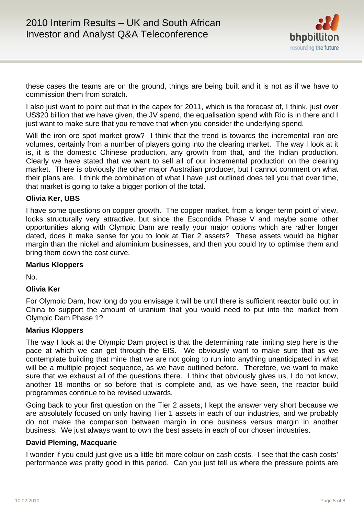

these cases the teams are on the ground, things are being built and it is not as if we have to commission them from scratch.

I also just want to point out that in the capex for 2011, which is the forecast of, I think, just over US\$20 billion that we have given, the JV spend, the equalisation spend with Rio is in there and I just want to make sure that you remove that when you consider the underlying spend.

Will the iron ore spot market grow? I think that the trend is towards the incremental iron ore volumes, certainly from a number of players going into the clearing market. The way I look at it is, it is the domestic Chinese production, any growth from that, and the Indian production. Clearly we have stated that we want to sell all of our incremental production on the clearing market. There is obviously the other major Australian producer, but I cannot comment on what their plans are. I think the combination of what I have just outlined does tell you that over time, that market is going to take a bigger portion of the total.

# **Olivia Ker, UBS**

I have some questions on copper growth. The copper market, from a longer term point of view, looks structurally very attractive, but since the Escondida Phase V and maybe some other opportunities along with Olympic Dam are really your major options which are rather longer dated, does it make sense for you to look at Tier 2 assets? These assets would be higher margin than the nickel and aluminium businesses, and then you could try to optimise them and bring them down the cost curve.

## **Marius Kloppers**

No.

# **Olivia Ker**

For Olympic Dam, how long do you envisage it will be until there is sufficient reactor build out in China to support the amount of uranium that you would need to put into the market from Olympic Dam Phase 1?

## **Marius Kloppers**

The way I look at the Olympic Dam project is that the determining rate limiting step here is the pace at which we can get through the EIS. We obviously want to make sure that as we contemplate building that mine that we are not going to run into anything unanticipated in what will be a multiple project sequence, as we have outlined before. Therefore, we want to make sure that we exhaust all of the questions there. I think that obviously gives us, I do not know, another 18 months or so before that is complete and, as we have seen, the reactor build programmes continue to be revised upwards.

Going back to your first question on the Tier 2 assets, I kept the answer very short because we are absolutely focused on only having Tier 1 assets in each of our industries, and we probably do not make the comparison between margin in one business versus margin in another business. We just always want to own the best assets in each of our chosen industries.

## **David Pleming, Macquarie**

I wonder if you could just give us a little bit more colour on cash costs. I see that the cash costs' performance was pretty good in this period. Can you just tell us where the pressure points are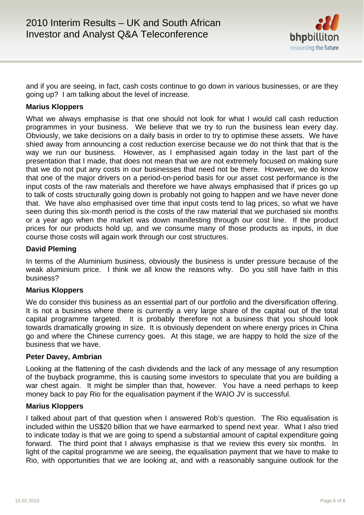

and if you are seeing, in fact, cash costs continue to go down in various businesses, or are they going up? I am talking about the level of increase.

# **Marius Kloppers**

What we always emphasise is that one should not look for what I would call cash reduction programmes in your business. We believe that we try to run the business lean every day. Obviously, we take decisions on a daily basis in order to try to optimise these assets. We have shied away from announcing a cost reduction exercise because we do not think that that is the way we run our business. However, as I emphasised again today in the last part of the presentation that I made, that does not mean that we are not extremely focused on making sure that we do not put any costs in our businesses that need not be there. However, we do know that one of the major drivers on a period-on-period basis for our asset cost performance is the input costs of the raw materials and therefore we have always emphasised that if prices go up to talk of costs structurally going down is probably not going to happen and we have never done that. We have also emphasised over time that input costs tend to lag prices, so what we have seen during this six-month period is the costs of the raw material that we purchased six months or a year ago when the market was down manifesting through our cost line. If the product prices for our products hold up, and we consume many of those products as inputs, in due course those costs will again work through our cost structures.

# **David Pleming**

In terms of the Aluminium business, obviously the business is under pressure because of the weak aluminium price. I think we all know the reasons why. Do you still have faith in this business?

## **Marius Kloppers**

We do consider this business as an essential part of our portfolio and the diversification offering. It is not a business where there is currently a very large share of the capital out of the total capital programme targeted. It is probably therefore not a business that you should look towards dramatically growing in size. It is obviously dependent on where energy prices in China go and where the Chinese currency goes. At this stage, we are happy to hold the size of the business that we have.

## **Peter Davey, Ambrian**

Looking at the flattening of the cash dividends and the lack of any message of any resumption of the buyback programme, this is causing some investors to speculate that you are building a war chest again. It might be simpler than that, however. You have a need perhaps to keep money back to pay Rio for the equalisation payment if the WAIO JV is successful.

## **Marius Kloppers**

I talked about part of that question when I answered Rob's question. The Rio equalisation is included within the US\$20 billion that we have earmarked to spend next year. What I also tried to indicate today is that we are going to spend a substantial amount of capital expenditure going forward. The third point that I always emphasise is that we review this every six months. In light of the capital programme we are seeing, the equalisation payment that we have to make to Rio, with opportunities that we are looking at, and with a reasonably sanguine outlook for the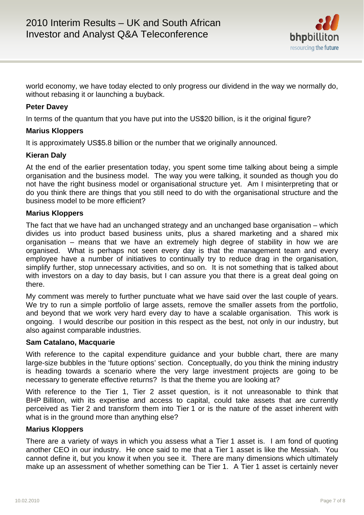

world economy, we have today elected to only progress our dividend in the way we normally do, without rebasing it or launching a buyback.

# **Peter Davey**

In terms of the quantum that you have put into the US\$20 billion, is it the original figure?

# **Marius Kloppers**

It is approximately US\$5.8 billion or the number that we originally announced.

# **Kieran Daly**

At the end of the earlier presentation today, you spent some time talking about being a simple organisation and the business model. The way you were talking, it sounded as though you do not have the right business model or organisational structure yet. Am I misinterpreting that or do you think there are things that you still need to do with the organisational structure and the business model to be more efficient?

## **Marius Kloppers**

The fact that we have had an unchanged strategy and an unchanged base organisation – which divides us into product based business units, plus a shared marketing and a shared mix organisation – means that we have an extremely high degree of stability in how we are organised. What is perhaps not seen every day is that the management team and every employee have a number of initiatives to continually try to reduce drag in the organisation, simplify further, stop unnecessary activities, and so on. It is not something that is talked about with investors on a day to day basis, but I can assure you that there is a great deal going on there.

My comment was merely to further punctuate what we have said over the last couple of years. We try to run a simple portfolio of large assets, remove the smaller assets from the portfolio, and beyond that we work very hard every day to have a scalable organisation. This work is ongoing. I would describe our position in this respect as the best, not only in our industry, but also against comparable industries.

## **Sam Catalano, Macquarie**

With reference to the capital expenditure guidance and your bubble chart, there are many large-size bubbles in the 'future options' section. Conceptually, do you think the mining industry is heading towards a scenario where the very large investment projects are going to be necessary to generate effective returns? Is that the theme you are looking at?

With reference to the Tier 1, Tier 2 asset question, is it not unreasonable to think that BHP Billiton, with its expertise and access to capital, could take assets that are currently perceived as Tier 2 and transform them into Tier 1 or is the nature of the asset inherent with what is in the ground more than anything else?

## **Marius Kloppers**

There are a variety of ways in which you assess what a Tier 1 asset is. I am fond of quoting another CEO in our industry. He once said to me that a Tier 1 asset is like the Messiah. You cannot define it, but you know it when you see it. There are many dimensions which ultimately make up an assessment of whether something can be Tier 1. A Tier 1 asset is certainly never